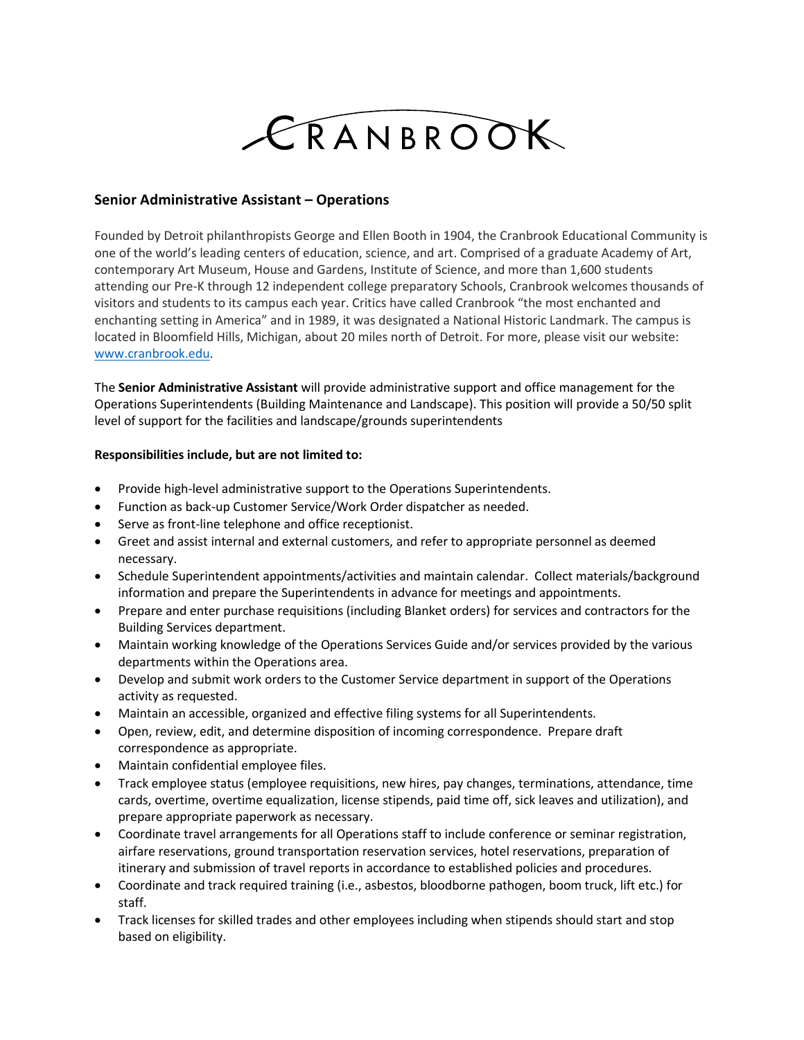## CRANBROOK

## **Senior Administrative Assistant – Operations**

Founded by Detroit philanthropists George and Ellen Booth in 1904, the Cranbrook Educational Community is one of the world's leading centers of education, science, and art. Comprised of a graduate Academy of Art, contemporary Art Museum, House and Gardens, Institute of Science, and more than 1,600 students attending our Pre-K through 12 independent college preparatory Schools, Cranbrook welcomes thousands of visitors and students to its campus each year. Critics have called Cranbrook "the most enchanted and enchanting setting in America" and in 1989, it was designated a National Historic Landmark. The campus is located in Bloomfield Hills, Michigan, about 20 miles north of Detroit. For more, please visit our website: [www.cranbrook.edu.](http://www.cranbrook.edu/)

The **Senior Administrative Assistant** will provide administrative support and office management for the Operations Superintendents (Building Maintenance and Landscape). This position will provide a 50/50 split level of support for the facilities and landscape/grounds superintendents

## **Responsibilities include, but are not limited to:**

- Provide high-level administrative support to the Operations Superintendents.
- Function as back-up Customer Service/Work Order dispatcher as needed.
- Serve as front-line telephone and office receptionist.
- Greet and assist internal and external customers, and refer to appropriate personnel as deemed necessary.
- Schedule Superintendent appointments/activities and maintain calendar. Collect materials/background information and prepare the Superintendents in advance for meetings and appointments.
- Prepare and enter purchase requisitions (including Blanket orders) for services and contractors for the Building Services department.
- Maintain working knowledge of the Operations Services Guide and/or services provided by the various departments within the Operations area.
- Develop and submit work orders to the Customer Service department in support of the Operations activity as requested.
- Maintain an accessible, organized and effective filing systems for all Superintendents.
- Open, review, edit, and determine disposition of incoming correspondence. Prepare draft correspondence as appropriate.
- Maintain confidential employee files.
- Track employee status (employee requisitions, new hires, pay changes, terminations, attendance, time cards, overtime, overtime equalization, license stipends, paid time off, sick leaves and utilization), and prepare appropriate paperwork as necessary.
- Coordinate travel arrangements for all Operations staff to include conference or seminar registration, airfare reservations, ground transportation reservation services, hotel reservations, preparation of itinerary and submission of travel reports in accordance to established policies and procedures.
- Coordinate and track required training (i.e., asbestos, bloodborne pathogen, boom truck, lift etc.) for staff.
- Track licenses for skilled trades and other employees including when stipends should start and stop based on eligibility.